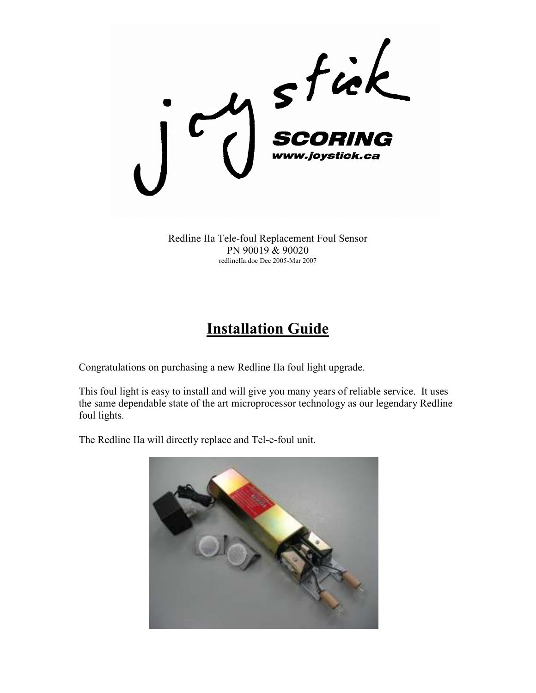

Redline IIa Tele-foul Replacement Foul Sensor PN 90019 & 90020 redlineIIa.doc Dec 2005-Mar 2007

## **Installation Guide**

Congratulations on purchasing a new Redline IIa foul light upgrade.

This foul light is easy to install and will give you many years of reliable service. It uses the same dependable state of the art microprocessor technology as our legendary Redline foul lights.

The Redline IIa will directly replace and Tel-e-foul unit.

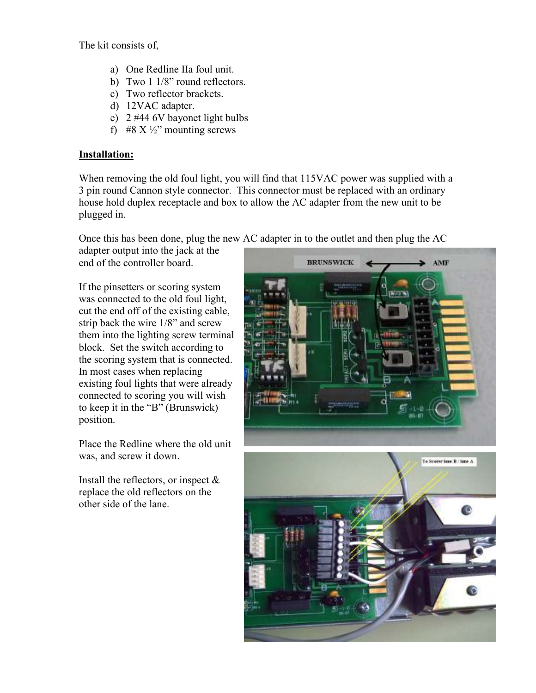The kit consists of,

- a) One Redline IIa foul unit.
- b) Two 1 1/8" round reflectors.
- c) Two reflector brackets.
- d) 12VAC adapter.
- e) 2 #44 6V bayonet light bulbs
- f) #8 X  $\frac{1}{2}$ " mounting screws

## Installation:

When removing the old foul light, you will find that 115VAC power was supplied with a 3 pin round Cannon style connector. This connector must be replaced with an ordinary house hold duplex receptacle and box to allow the AC adapter from the new unit to be plugged in.

Once this has been done, plug the new AC adapter in to the outlet and then plug the AC

adapter output into the jack at the end of the controller board.

If the pinsetters or scoring system was connected to the old foul light, cut the end off of the existing cable, strip back the wire 1/8" and screw them into the lighting screw terminal block. Set the switch according to the scoring system that is connected. In most cases when replacing existing foul lights that were already connected to scoring you will wish to keep it in the "B" (Brunswick) position.

Place the Redline where the old unit was, and screw it down.

Install the reflectors, or inspect  $\&$ replace the old reflectors on the other side of the lane.